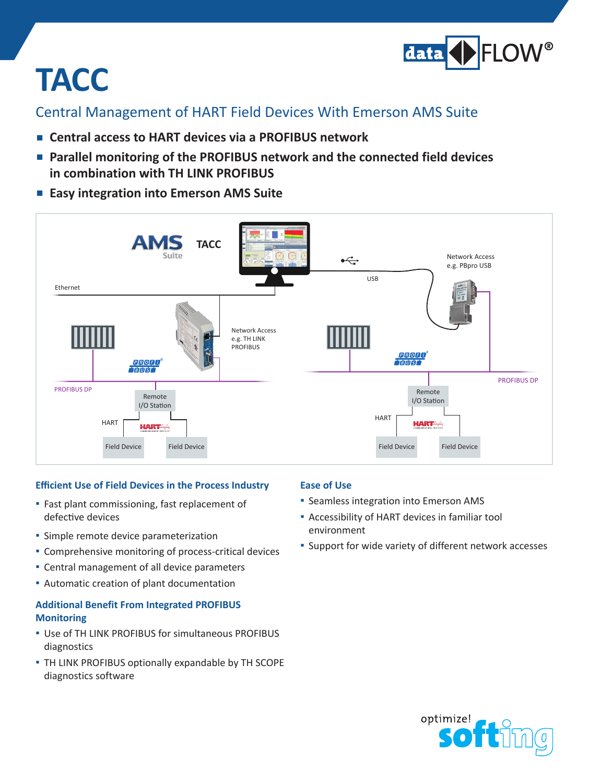

# **TACC**

### Central Management of HART Field Devices With Emerson AMS Suite

- **▪▪ Central access to HART devices via <sup>a</sup> PROFIBUS network**
- **▪▪ Parallel monitoring of the PROFIBUS network and the connected field devices in combination with TH LINK PROFIBUS**
- Easy integration into Emerson AMS Suite



#### **Efficient Use of Field Devices in the Process Industry**

- **▪**▪ Fast plant commissioning, fast replacement of defective devices
- **▪** Simple remote device parameterization
- **▪**▪ Comprehensive monitoring of process-critical devices
- **▪**▪ Central management of all device parameters
- Automatic creation of plant documentation

#### **Additional Benefit From Integrated PROFIBUS Monitoring**

- **▪**▪ Use of TH LINK PROFIBUS for simultaneous PROFIBUS diagnostics
- **▪**▪ TH LINK PROFIBUS optionally expandable by TH SCOPE diagnostics software

#### **Ease of Use**

- **▪**▪ Seamless integration into Emerson AMS
- Accessibility of HART devices in familiar tool environment
- **▪** Support for wide variety of different network accesses